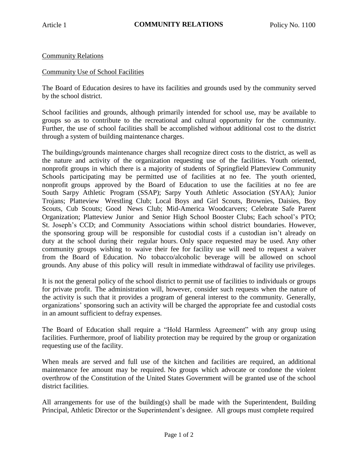## Community Relations

## Community Use of School Facilities

The Board of Education desires to have its facilities and grounds used by the community served by the school district.

School facilities and grounds, although primarily intended for school use, may be available to groups so as to contribute to the recreational and cultural opportunity for the community. Further, the use of school facilities shall be accomplished without additional cost to the district through a system of building maintenance charges.

The buildings/grounds maintenance charges shall recognize direct costs to the district, as well as the nature and activity of the organization requesting use of the facilities. Youth oriented, nonprofit groups in which there is a majority of students of Springfield Platteview Community Schools participating may be permitted use of facilities at no fee. The youth oriented, nonprofit groups approved by the Board of Education to use the facilities at no fee are South Sarpy Athletic Program (SSAP); Sarpy Youth Athletic Association (SYAA); Junior Trojans; Platteview Wrestling Club; Local Boys and Girl Scouts, Brownies, Daisies, Boy Scouts, Cub Scouts; Good News Club; Mid-America Woodcarvers; Celebrate Safe Parent Organization; Platteview Junior and Senior High School Booster Clubs; Each school's PTO; St. Joseph's CCD; and Community Associations within school district boundaries. However, the sponsoring group will be responsible for custodial costs if a custodian isn't already on duty at the school during their regular hours. Only space requested may be used. Any other community groups wishing to waive their fee for facility use will need to request a waiver from the Board of Education. No tobacco/alcoholic beverage will be allowed on school grounds. Any abuse of this policy will result in immediate withdrawal of facility use privileges.

It is not the general policy of the school district to permit use of facilities to individuals or groups for private profit. The administration will, however, consider such requests when the nature of the activity is such that it provides a program of general interest to the community. Generally, organizations' sponsoring such an activity will be charged the appropriate fee and custodial costs in an amount sufficient to defray expenses.

The Board of Education shall require a "Hold Harmless Agreement" with any group using facilities. Furthermore, proof of liability protection may be required by the group or organization requesting use of the facility.

When meals are served and full use of the kitchen and facilities are required, an additional maintenance fee amount may be required. No groups which advocate or condone the violent overthrow of the Constitution of the United States Government will be granted use of the school district facilities.

All arrangements for use of the building(s) shall be made with the Superintendent, Building Principal, Athletic Director or the Superintendent's designee. All groups must complete required